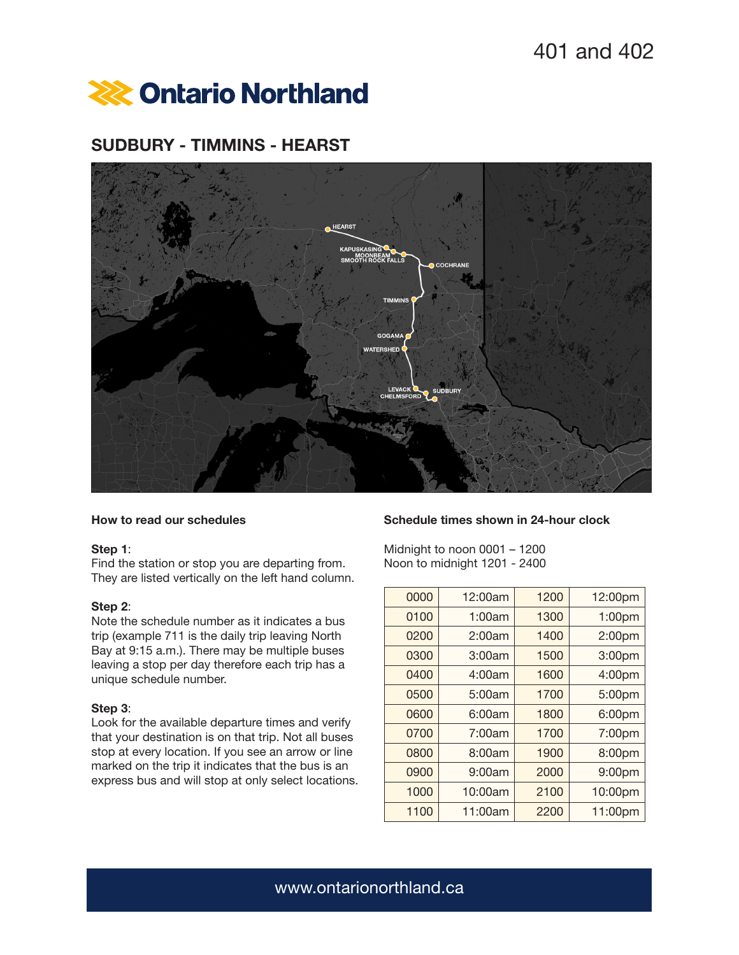

# SUDBURY - TIMMINS - HEARST



# How to read our schedules

## Step 1:

Find the station or stop you are departing from. They are listed vertically on the left hand column.

# Step 2:

Note the schedule number as it indicates a bus trip (example 711 is the daily trip leaving North Bay at 9:15 a.m.). There may be multiple buses leaving a stop per day therefore each trip has a unique schedule number.

## Step 3:

Look for the available departure times and verify that your destination is on that trip. Not all buses stop at every location. If you see an arrow or line marked on the trip it indicates that the bus is an express bus and will stop at only select locations.

#### Schedule times shown in 24-hour clock

Midnight to noon 0001 – 1200 Noon to midnight 1201 - 2400

| 0000 | 12:00am | 1200 | 12:00pm |
|------|---------|------|---------|
| 0100 | 1:00am  | 1300 | 1:00pm  |
| 0200 | 2:00am  | 1400 | 2:00pm  |
| 0300 | 3:00am  | 1500 | 3:00pm  |
| 0400 | 4:00am  | 1600 | 4:00pm  |
| 0500 | 5:00am  | 1700 | 5:00pm  |
| 0600 | 6:00am  | 1800 | 6:00pm  |
| 0700 | 7:00am  | 1700 | 7:00pm  |
| 0800 | 8:00am  | 1900 | 8:00pm  |
| 0900 | 9:00am  | 2000 | 9:00pm  |
| 1000 | 10:00am | 2100 | 10:00pm |
| 1100 | 11:00am | 2200 | 11:00pm |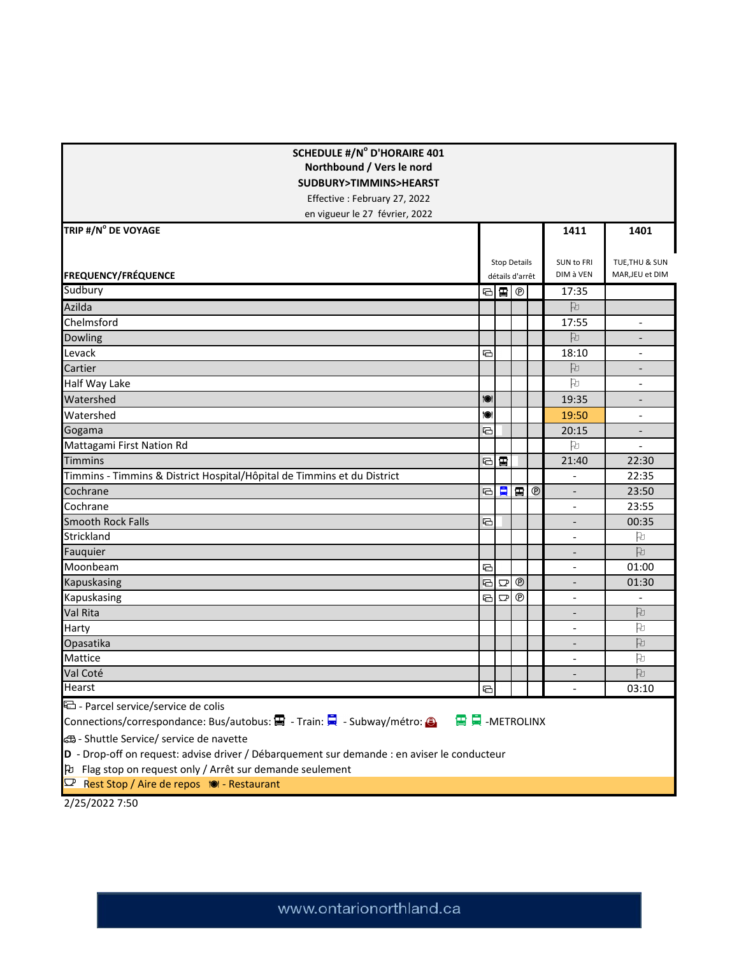| <b>SCHEDULE #/N° D'HORAIRE 401</b><br>Northbound / Vers le nord<br>SUDBURY>TIMMINS>HEARST<br>Effective: February 27, 2022<br>en vigueur le 27 février, 2022 |                                        |                        |              |            |                                                      |                                   |  |  |  |  |
|-------------------------------------------------------------------------------------------------------------------------------------------------------------|----------------------------------------|------------------------|--------------|------------|------------------------------------------------------|-----------------------------------|--|--|--|--|
| TRIP #/N° DE VOYAGE                                                                                                                                         |                                        |                        |              |            | 1411                                                 | 1401                              |  |  |  |  |
| <b>FREQUENCY/FRÉQUENCE</b>                                                                                                                                  | <b>Stop Details</b><br>détails d'arrêt |                        |              |            | SUN to FRI<br>DIM à VEN                              | TUE, THU & SUN<br>MAR, JEU et DIM |  |  |  |  |
| Sudbury                                                                                                                                                     |                                        |                        |              |            | 17:35                                                |                                   |  |  |  |  |
| Azilda                                                                                                                                                      |                                        |                        |              |            | 凡                                                    |                                   |  |  |  |  |
| Chelmsford                                                                                                                                                  |                                        |                        |              |            | 17:55                                                | $\overline{a}$                    |  |  |  |  |
| Dowling                                                                                                                                                     |                                        |                        |              |            | 凡                                                    | -                                 |  |  |  |  |
| Levack                                                                                                                                                      | ⊕                                      |                        |              |            | 18:10                                                | $\overline{\phantom{a}}$          |  |  |  |  |
| Cartier                                                                                                                                                     |                                        |                        |              |            | 凡                                                    | $\overline{\phantom{a}}$          |  |  |  |  |
| Half Way Lake                                                                                                                                               |                                        |                        |              |            | 凡                                                    | $\overline{a}$                    |  |  |  |  |
| Watershed                                                                                                                                                   | 10                                     |                        |              |            | 19:35                                                |                                   |  |  |  |  |
| Watershed                                                                                                                                                   | ÎO)                                    |                        |              |            | 19:50                                                | $\qquad \qquad \blacksquare$      |  |  |  |  |
| Gogama                                                                                                                                                      | €                                      |                        |              |            | 20:15                                                | $\overline{a}$                    |  |  |  |  |
| Mattagami First Nation Rd                                                                                                                                   |                                        |                        |              |            | 凡                                                    |                                   |  |  |  |  |
| <b>Timmins</b>                                                                                                                                              |                                        | ⊟ 国                    |              |            | 21:40                                                | 22:30                             |  |  |  |  |
| Timmins - Timmins & District Hospital/Hôpital de Timmins et du District                                                                                     |                                        |                        |              |            | $\overline{\phantom{a}}$                             | 22:35                             |  |  |  |  |
| Cochrane                                                                                                                                                    | $\Xi$                                  | 貝                      | 雷            | $^{\circ}$ | $\overline{\phantom{a}}$                             | 23:50                             |  |  |  |  |
| Cochrane                                                                                                                                                    |                                        |                        |              |            | $\overline{\phantom{a}}$                             | 23:55                             |  |  |  |  |
| <b>Smooth Rock Falls</b>                                                                                                                                    |                                        |                        |              |            |                                                      | 00:35                             |  |  |  |  |
| Strickland                                                                                                                                                  |                                        |                        |              |            |                                                      | h<br>凡                            |  |  |  |  |
| Fauquier                                                                                                                                                    |                                        |                        |              |            |                                                      | 01:00                             |  |  |  |  |
| Moonbeam                                                                                                                                                    | ⊟<br>$\Xi$                             |                        | $^\circledR$ |            | $\overline{a}$                                       |                                   |  |  |  |  |
| Kapuskasing<br>Kapuskasing                                                                                                                                  | $\Xi$                                  | $\mathbf{\nabla}$<br>모 | $^{\circ}$   |            |                                                      | 01:30                             |  |  |  |  |
| Val Rita                                                                                                                                                    |                                        |                        |              |            |                                                      | 凡                                 |  |  |  |  |
| Harty                                                                                                                                                       |                                        |                        |              |            | $\overline{\phantom{a}}$<br>$\overline{\phantom{a}}$ | 凡                                 |  |  |  |  |
| Opasatika                                                                                                                                                   |                                        |                        |              |            | $\qquad \qquad -$                                    | P                                 |  |  |  |  |
| Mattice                                                                                                                                                     |                                        |                        |              |            |                                                      | Þ                                 |  |  |  |  |
| Val Coté                                                                                                                                                    |                                        |                        |              |            |                                                      | 凡                                 |  |  |  |  |
| Hearst                                                                                                                                                      | ⊕                                      |                        |              |            |                                                      | 03:10                             |  |  |  |  |
| D - Parcel service/service de colis                                                                                                                         |                                        |                        |              |            |                                                      |                                   |  |  |  |  |
| Connections/correspondance: Bus/autobus: 国 - Train: ■ - Subway/métro: 3<br>国具-METROLINX                                                                     |                                        |                        |              |            |                                                      |                                   |  |  |  |  |
| යි - Shuttle Service/ service de navette                                                                                                                    |                                        |                        |              |            |                                                      |                                   |  |  |  |  |
| D - Drop-off on request: advise driver / Débarquement sur demande : en aviser le conducteur                                                                 |                                        |                        |              |            |                                                      |                                   |  |  |  |  |
| þ Flag stop on request only / Arrêt sur demande seulement                                                                                                   |                                        |                        |              |            |                                                      |                                   |  |  |  |  |
| Rest Stop / Aire de repos 10 - Restaurant<br>محب                                                                                                            |                                        |                        |              |            |                                                      |                                   |  |  |  |  |
|                                                                                                                                                             |                                        |                        |              |            |                                                      |                                   |  |  |  |  |

2/25/2022 7:50